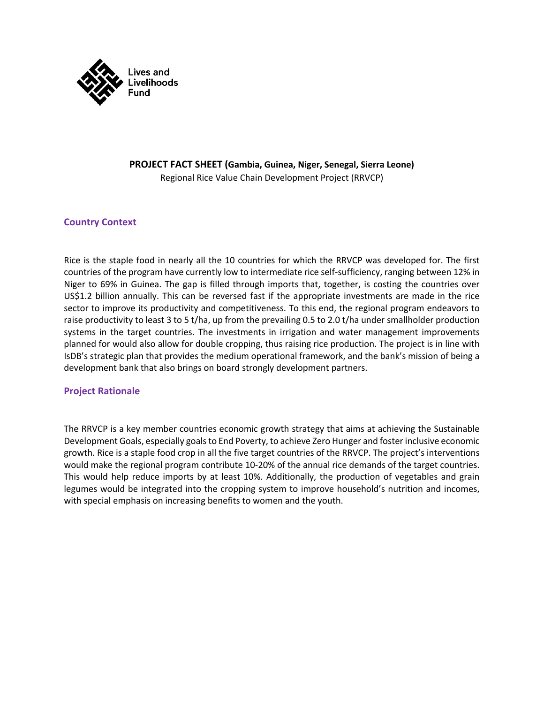

#### **PROJECT FACT SHEET (Gambia, Guinea, Niger, Senegal, Sierra Leone)** Regional Rice Value Chain Development Project (RRVCP)

## **Country Context**

Rice is the staple food in nearly all the 10 countries for which the RRVCP was developed for. The first countries of the program have currently low to intermediate rice self-sufficiency, ranging between 12% in Niger to 69% in Guinea. The gap is filled through imports that, together, is costing the countries over US\$1.2 billion annually. This can be reversed fast if the appropriate investments are made in the rice sector to improve its productivity and competitiveness. To this end, the regional program endeavors to raise productivity to least 3 to 5 t/ha, up from the prevailing 0.5 to 2.0 t/ha under smallholder production systems in the target countries. The investments in irrigation and water management improvements planned for would also allow for double cropping, thus raising rice production. The project is in line with IsDB's strategic plan that provides the medium operational framework, and the bank's mission of being a development bank that also brings on board strongly development partners.

#### **Project Rationale**

The RRVCP is a key member countries economic growth strategy that aims at achieving the Sustainable Development Goals, especially goalsto End Poverty, to achieve Zero Hunger and foster inclusive economic growth. Rice is a staple food crop in all the five target countries of the RRVCP. The project's interventions would make the regional program contribute 10-20% of the annual rice demands of the target countries. This would help reduce imports by at least 10%. Additionally, the production of vegetables and grain legumes would be integrated into the cropping system to improve household's nutrition and incomes, with special emphasis on increasing benefits to women and the youth.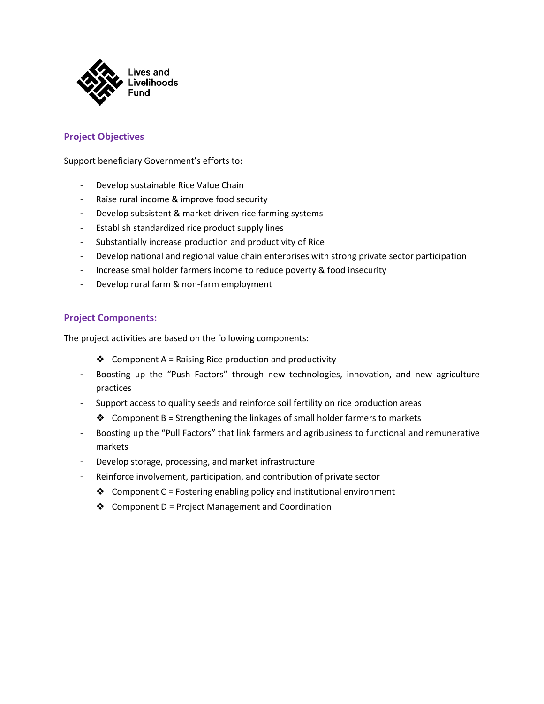

# **Project Objectives**

Support beneficiary Government's efforts to:

- Develop sustainable Rice Value Chain
- Raise rural income & improve food security
- Develop subsistent & market-driven rice farming systems
- Establish standardized rice product supply lines
- Substantially increase production and productivity of Rice
- Develop national and regional value chain enterprises with strong private sector participation
- Increase smallholder farmers income to reduce poverty & food insecurity
- Develop rural farm & non-farm employment

## **Project Components:**

The project activities are based on the following components:

- ❖ Component A = Raising Rice production and productivity
- Boosting up the "Push Factors" through new technologies, innovation, and new agriculture practices
- Support access to quality seeds and reinforce soil fertility on rice production areas
	- $♦$  Component B = Strengthening the linkages of small holder farmers to markets
- Boosting up the "Pull Factors" that link farmers and agribusiness to functional and remunerative markets
- Develop storage, processing, and market infrastructure
- Reinforce involvement, participation, and contribution of private sector
	- ◆ Component C = Fostering enabling policy and institutional environment
	- ❖ Component D = Project Management and Coordination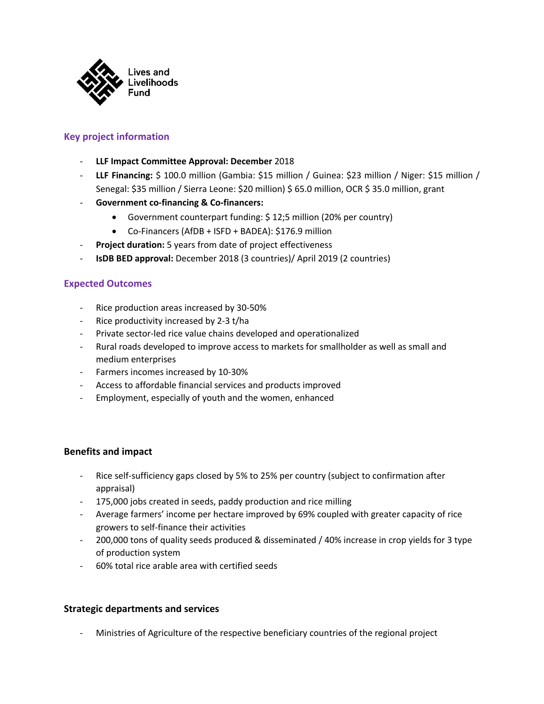

# **Key project information**

- **LLF Impact Committee Approval: December** 2018
- **LLF Financing:** \$ 100.0 million (Gambia: \$15 million / Guinea: \$23 million / Niger: \$15 million / Senegal: \$35 million / Sierra Leone: \$20 million) \$ 65.0 million, OCR \$ 35.0 million, grant
- **Government co-financing & Co-financers:**
	- Government counterpart funding: \$ 12;5 million (20% per country)
	- Co-Financers (AfDB + ISFD + BADEA): \$176.9 million
- Project duration: 5 years from date of project effectiveness
- **IsDB BED approval:** December 2018 (3 countries)/ April 2019 (2 countries)

## **Expected Outcomes**

- Rice production areas increased by 30-50%
- Rice productivity increased by 2-3 t/ha
- Private sector-led rice value chains developed and operationalized
- Rural roads developed to improve access to markets for smallholder as well as small and medium enterprises
- Farmers incomes increased by 10-30%
- Access to affordable financial services and products improved
- Employment, especially of youth and the women, enhanced

#### **Benefits and impact**

- Rice self-sufficiency gaps closed by 5% to 25% per country (subject to confirmation after appraisal)
- 175,000 jobs created in seeds, paddy production and rice milling
- Average farmers' income per hectare improved by 69% coupled with greater capacity of rice growers to self-finance their activities
- 200,000 tons of quality seeds produced & disseminated / 40% increase in crop yields for 3 type of production system
- 60% total rice arable area with certified seeds

#### **Strategic departments and services**

Ministries of Agriculture of the respective beneficiary countries of the regional project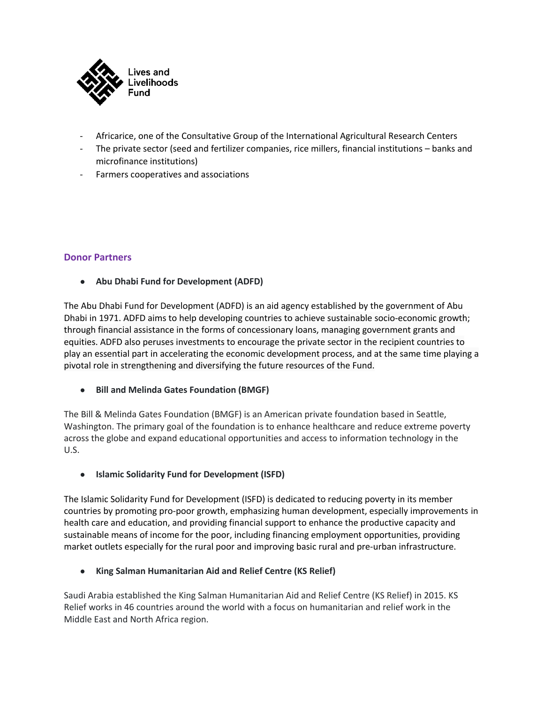

- Africarice, one of the Consultative Group of the International Agricultural Research Centers
- The private sector (seed and fertilizer companies, rice millers, financial institutions banks and microfinance institutions)
- Farmers cooperatives and associations

#### **Donor Partners**

● **Abu Dhabi Fund for Development (ADFD)**

The Abu Dhabi Fund for Development (ADFD) is an aid agency established by the government of Abu Dhabi in 1971. ADFD aims to help developing countries to achieve sustainable socio-economic growth; through financial assistance in the forms of concessionary loans, managing government grants and equities. ADFD also peruses investments to encourage the private sector in the recipient countries to play an essential part in accelerating the economic development process, and at the same time playing a pivotal role in strengthening and diversifying the future resources of the Fund.

● **Bill and Melinda Gates Foundation (BMGF)**

The Bill & Melinda Gates Foundation (BMGF) is an American private foundation based in Seattle, Washington. The primary goal of the foundation is to enhance healthcare and reduce extreme poverty across the globe and expand educational opportunities and access to information technology in the U.S.

● **Islamic Solidarity Fund for Development (ISFD)**

The Islamic Solidarity Fund for Development (ISFD) is dedicated to reducing poverty in its member countries by promoting pro-poor growth, emphasizing human development, especially improvements in health care and education, and providing financial support to enhance the productive capacity and sustainable means of income for the poor, including financing employment opportunities, providing market outlets especially for the rural poor and improving basic rural and pre-urban infrastructure.

● **King Salman Humanitarian Aid and Relief Centre (KS Relief)**

Saudi Arabia established the King Salman Humanitarian Aid and Relief Centre (KS Relief) in 2015. KS Relief works in 46 countries around the world with a focus on humanitarian and relief work in the Middle East and North Africa region.